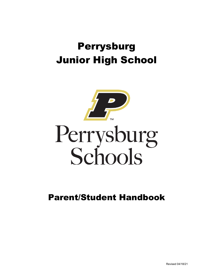# Perrysburg Junior High School



Parent/Student Handbook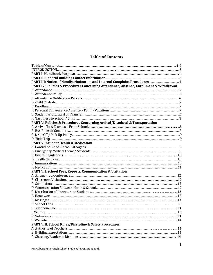# **Table of Contents**

| PART IV: Policies & Procedures Concerning Attendance, Absence, Enrollment & Withdrawal |  |
|----------------------------------------------------------------------------------------|--|
|                                                                                        |  |
|                                                                                        |  |
|                                                                                        |  |
|                                                                                        |  |
|                                                                                        |  |
|                                                                                        |  |
|                                                                                        |  |
|                                                                                        |  |
| PART V: Policies & Procedures Concerning Arrival/Dismissal & Transportation            |  |
|                                                                                        |  |
|                                                                                        |  |
|                                                                                        |  |
|                                                                                        |  |
| <b>PART VI: Student Health &amp; Medication</b>                                        |  |
|                                                                                        |  |
|                                                                                        |  |
|                                                                                        |  |
|                                                                                        |  |
|                                                                                        |  |
|                                                                                        |  |
| PART VII: School Fees, Reports, Communication & Visitation                             |  |
|                                                                                        |  |
|                                                                                        |  |
|                                                                                        |  |
|                                                                                        |  |
|                                                                                        |  |
|                                                                                        |  |
|                                                                                        |  |
|                                                                                        |  |
|                                                                                        |  |
|                                                                                        |  |
|                                                                                        |  |
|                                                                                        |  |
| <b>PART VIII: School Rules/Discipline &amp; Safety Procedures</b>                      |  |
|                                                                                        |  |
|                                                                                        |  |
|                                                                                        |  |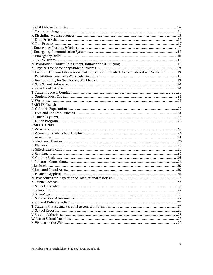| O. Positive Behavior Intervention and Supports and Limited Use of Restraint and Seclusion19 |  |
|---------------------------------------------------------------------------------------------|--|
|                                                                                             |  |
|                                                                                             |  |
|                                                                                             |  |
|                                                                                             |  |
|                                                                                             |  |
|                                                                                             |  |
|                                                                                             |  |
| <b>PART IX: Lunch</b>                                                                       |  |
|                                                                                             |  |
|                                                                                             |  |
|                                                                                             |  |
|                                                                                             |  |
| <b>PART X: Other</b>                                                                        |  |
|                                                                                             |  |
|                                                                                             |  |
|                                                                                             |  |
|                                                                                             |  |
|                                                                                             |  |
|                                                                                             |  |
|                                                                                             |  |
|                                                                                             |  |
|                                                                                             |  |
|                                                                                             |  |
|                                                                                             |  |
|                                                                                             |  |
|                                                                                             |  |
|                                                                                             |  |
|                                                                                             |  |
|                                                                                             |  |
|                                                                                             |  |
|                                                                                             |  |
|                                                                                             |  |
|                                                                                             |  |
|                                                                                             |  |
|                                                                                             |  |
|                                                                                             |  |
|                                                                                             |  |
|                                                                                             |  |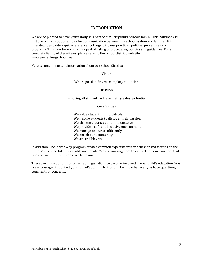#### **INTRODUCTION**

We are so pleased to have your family as a part of our Perrysburg Schools family! This handbook is just one of many opportunities for communication between the school system and families. It is intended to provide a quick-reference tool regarding our practices, policies, procedures and programs. This handbook contains a partial listing of procedures, policies and guidelines. For a complete listing of these items, please refer to the school district web site, www.perrysburgschools.net.

Here is some important information about our school district:

#### **Vision**

Where passion drives exemplary education

#### **Mission**

Ensuring all students achieve their greatest potential

#### **Core Values**

- $\cdot$  We value students as individuals
- We inspire students to discover their passion
- We challenge our students and ourselves
- We provide a safe and inclusive environment
- · We manage resources efficiently
- · We enrich our community
- We are trailblazers

In addition, The Jacket Way program creates common expectations for behavior and focuses on the three R's: Respectful, Responsible and Ready. We are working hard to cultivate an environment that nurtures and reinforces positive behavior.

There are many options for parents and guardians to become involved in your child's education. You are encouraged to contact your school's administration and faculty whenever you have questions, comments or concerns.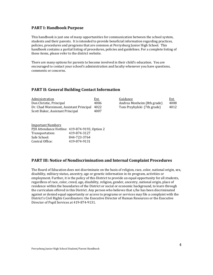## **PART I: Handbook Purpose**

This handbook is just one of many opportunities for communication between the school system, students and their parents. It is intended to provide beneficial information regarding practices, policies, procedures and programs that are common at Perrysburg Junior High School. This handbook contains a partial listing of procedures, policies and guidelines. For a complete listing of these items, please refer to the district website.

There are many options for parents to become involved in their child's education. You are encouraged to contact your school's administration and faculty whenever you have questions, comments or concerns.

# **PART II: General Building Contact Information**

| Administration                               | Ext. | Guidance                   | <u>Ext.</u> |
|----------------------------------------------|------|----------------------------|-------------|
| Don Christie, Principal                      | 4006 | Andrea Monheim (8th grade) | 4008        |
| Dr. Chad Warnimont, Assistant Principal 4022 |      | Tom Przybylski (7th grade) | 4012        |
| Scott Buker, Assistant Principal             | 4007 |                            |             |

**Important Numbers** PJH Attendance Hotline: 419-874-9193, Option 2 Transportation: 419-874-3127 Safe School: 844-723-3764 Central Office: 419-874-9131

## **PART III: Notice of Nondiscrimination and Internal Complaint Procedures**

The Board of Education does not discriminate on the basis of religion, race, color, national origin, sex, disability, military status, ancestry, age or genetic information in its program, activities or employment. Further, it is the policy of this District to provide an equal opportunity for all students, regardless of race, color, creed, age, disability, religion, gender, ancestry, national origin, place of residence within the boundaries of the District or social or economic background, to learn through the curriculum offered in this District. Any person who believes that s/he has been discriminated against or denied equal opportunity or access to programs or services may file a complaint with the District's Civil Rights Coordinators: the Executive Director of Human Resources or the Executive Director of Pupil Services at 419-874-9131.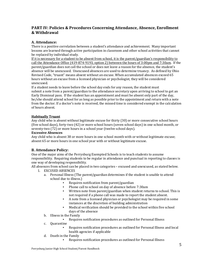# **PART IV: Policies & Procedures Concerning Attendance, Absence, Enrollment & Withdrawal**

## **A. Attendance:**

There is a positive correlation between a student's attendance and achievement. Many important lessons are learned through active participation in classroom and other school activities that cannot be replaced by individual study.

If it is necessary for a student to be absent from school, it is the parent/guardian's responsibility to call the Attendance Office (419-874-9193, option 2) between the hours of 3:00pm and 7:30am. If the parent/guardian does not call the school or does not leave a reason for the absence, the student's absence will be unexcused. Unexcused absences are used to determine truancy. As defined by Ohio Revised Code, "truant" means absent without an excuse. When accumulated absences exceed 65 hours without an excuse from a licensed physician or psychologist, they will be considered unexcused. 

If a student needs to leave before the school day ends for any reason, the student must submit a note from a parent/guardian to the attendance secretary upon arriving to school to get an Early Dismissal pass. If the student has an appointment and must be absent only part of the day, he/she should attend school for as long as possible prior to the appointment and return with a note from the doctor. If a doctor's note is received, the missed time is considered exempt in the calculation of hours absent.

## **Habitually Truant**

Any child who is absent without legitimate excuse for thirty (30) or more consecutive school hours (five school days), forty-two (42) or more school hours (seven school days) in one school month, or seventy-two (72) or more hours in a school year (twelve school days).

#### **Excessive Absences**

Any child who is absent 38 or more hours in one school month with or without legitimate excuse; absent 65 or more hours in one school year with or without legitimate excuse.

## **B. Attendance Policy:**

One of the major aims of the Perrysburg Exempted Schools is to teach students to assume responsibility. Requiring students to be regular in attendance and punctual in reporting to classes is one way of developing responsibility.

All absences from school can be placed in two categories – excused and unexcused, as stated below.

- 1. EXCUSED ABSENCES
	- a. Personal Illness (The parent/guardian determines if the student is unable to attend school due to illness.)
		- Requires notification from parent/guardian
		- Phone call to school on day of absence before 7:30am
		- Written note from parent/guardian when student returns to school. This is not required if a phone call was made to report the student absent.
		- A note from a licensed physician or psychologist may be required in some instances at the discretion of building administration
		- Medical verification should be provided to the school within five school days of the absence
	- b. Illness in the Family
		- Requires notification procedures as outlined for Personal Illness
	- c. Quarantine
		- Requires notification procedures as outlined for Personal Illness and local health agencies if applicable
	- d. Death in the Family
		- Requires notification procedures as outlined for Personal Illness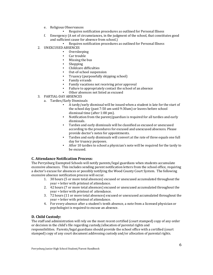- e. Religious Observances
	- Requires notification procedures as outlined for Personal Illness
- f. Emergency (A set of circumstances, in the judgment of the school, that constitutes good and sufficient cause for absence from school.)
	- Requires notification procedures as outlined for Personal Illness
- 2. UNEXCUSED ABSENCES
	- **Oversleeping**
	- **•** Car trouble
	- Missing the bus
	- **Shopping**
	- Childcare difficulties
	- Out-of-school suspension
	- Truancy (purposefully skipping school)
	- Family errands
	- Family vacations not receiving prior approval
	- Failure to appropriately contact the school of an absence
	- Other absences not listed as excused
- 3. PARTIAL-DAY ABSENCES
	- a. Tardies/Early Dismissals
		- A tardy/early dismissal will be issued when a student is late for the start of the school day (past 7:50 am until 9:30am) or leaves before school dismissal time (after 1:00 pm).
		- Notification from the parent/guardian is required for all tardies and early dismissals.
		- Tardies and early dismissals will be classified as excused or unexcused according to the procedures for excused and unexcused absences. Please provide doctor's notes for appointments.
		- Tardies and early dismissals will convert at the rate of three equals one full day for truancy purposes.
		- After 10 tardies to school a physician's note will be required for the tardy to be excused.

## **C. Attendance Notification Process:**

The Perrysburg Exempted Schools will notify parents/legal guardians when students accumulate excessive absences. This includes sending parent notification letters from the school office, requiring a doctor's excuse for absences or possibly notifying the Wood County Court System. The following excessive absence notification process will occur.

- 1. 30 hours (5 or more total absences) excused or unexcused accumulated throughout the year = letter with printout of attendance.
- 2. 42 hours (7 or more total absences) excused or unexcused accumulated throughout the year = letter with printout of attendance.
- 3. 72 hours (11 or more total absences) excused or unexcused accumulated throughout the year = letter with printout of attendance.
- 4. For every absence after a student's tenth absence, a note from a licensed physician or psychologist is required to excuse an absence.

## **D. Child Custody:**

The staff and administration will rely on the most recent certified (court stamped) copy of any order or decision in the child's file regarding custody/allocation of parental rights and responsibilities. Parents/legal guardians should provide the school office with a certified (court stamped) copy of any court document addressing custody and/or allocation of parental rights.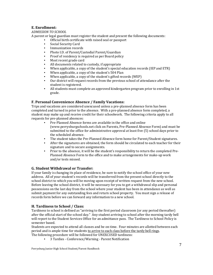# **E. Enrollment:**

## *ADMISSION TO SCHOOL*

A parent or legal guardian must register the student and present the following documents:

- Official birth certificate with raised seal or passport
- Social Security Card
- **·** Immunization records
- Photo I.D. of Parent/Custodial Parent/Guardian
- Proof of residency is required as per Board policy
- **•** Most recent grade card
- All documents related to custody, if appropriate
- When applicable, a copy of the student's special education records (IEP and ETR)
- When applicable, a copy of the student's 504 Plan
- When applicable, a copy of the student's gifted records (WEP)
- Our district will request records from the previous school of attendance after the student is registered.
- All students must complete an approved kindergarten program prior to enrolling in 1st grade.

## **F. Personal Convenience Absence / Family Vacations:**

Trips and vacations are considered unexcused unless a pre-planned absence form has been completed and turned in prior to the absence. With a pre-planned absence form completed, a student may make up and receive credit for their schoolwork. The following criteria apply to all requests for pre-planned absences:

- Pre-Planned Absence forms are available in the office and online (www.perrysburgschools.net click on Parents, Pre-Planned Absence Form) and must be submitted to the office for administrative approval at least five  $(5)$  school days prior to the scheduled absence.
- The student takes the Pre-Planned Absence form home for Parent/Student signatures.
- **•** After the signatures are obtained, the form should be circulated to each teacher for their signature and to secure assignments.
- **•** Prior to the absence, it will be the student's responsibility to return the completed Pre-Planned Absence Form to the office and to make arrangements for make-up work and/or tests missed.

## **G. Student Withdrawal or Transfer:**

If your family is changing its place of residence, be sure to notify the school office of your new address. All of your student's records will be transferred from the present school directly to the school district to which you will be moving upon receipt of written request from the new school. Before leaving the school district, it will be necessary for you to get a withdrawal slip and personal possessions on the last day from the school where your student has been in attendance as well as submit payment for any outstanding fees and return school property. You must sign a release of records form before we can forward any information to a new school.

## **H. Tardiness to School / Class:**

Tardiness to school is defined as "arriving to the first period classroom (or any period thereafter) after the official start of the school day." Any student arriving to school after the morning tardy bell will report to the Student Services Office for an admittance pass. The Tardiness to School Policy is semester based.

Students are expected to attend all classes and be on time. Four minutes are allotted between each period and is ample time for students to arrive to each class before the tardy bell rings.

- The following procedure will be followed for UNEXCUSED tardiness:
	- **•** 3 Tardies Conference/Warning Parent Notification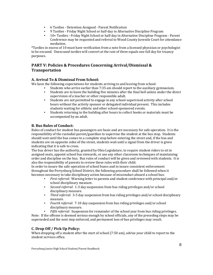- **•** 6 Tardies Detention Assigned Parent Notification
- 9 Tardies Friday Night School or half-day in Alternative Discipline Program
- 10+ Tardies Friday Night School or half-day in Alternative Discipline Program Parent Conference may be requested and referral to Wood County Juvenile Court for attendance mediation.

\*Tardies in excess of 10 must have verification from a note from a licensed physician or psychologist to be excused. Unexcused tardies will convert at the rate of three equals one full day for truancy purposes. 

# **PART V: Policies & Procedures Concerning Arrival/Dismissal & Transportation**

## **A. Arrival To & Dismissal From School:**

We have the following expectations for students arriving to and leaving from school:

- Students who arrive earlier than 7:35 am should report to the auxiliary gymnasium.
	- Students are to leave the building five minutes after the final bell unless under the direct supervision of a teacher or other responsible adult.
	- Students are not permitted to engage in any school-supervised activity after school hours without the activity sponsor or delegated individual present. This includes students waiting for athletic and other school-sponsored events.
	- Students returning to the building after hours to collect books or materials must be accompanied by an adult.

## **B. Bus Rules of Conduct:**

Rules of conduct for student bus passengers are basic and are necessary for safe operation. It is the responsibility of the custodial parent/guardian to supervise the student at the bus stop. Students should wait until the bus comes to a complete stop before entering the street and, if the bus and students are on opposite sides of the street, students wait until a signal from the driver is given indicating that it is safe to cross.

The bus driver has the authority, granted by Ohio Legislature, to require student riders to sit in assigned seats, appoint school bus stewards, or use any other classroom techniques of maintaining order and discipline on the bus. Bus rules of conduct will be given and reviewed with students. It is also the responsibility of parents to review these rules with their child.

In order to insure the safe operation of school buses and to insure consistent enforcement throughout the Perrysburg School District, the following procedure shall be followed when it becomes necessary to take disciplinary action because of misconduct aboard a school bus:

- *First referral*: Warning letter to parents and student conference with principal and/or school disciplinary measure.
- *Second referral*: 1-3 day suspension from bus riding privileges and/or school disciplinary measure.
- **•** *Third referral*: 3-5 day suspension from bus riding privileges and/or school disciplinary measure.
- *Fourth referral*: 7-10 day suspension from bus riding privileges and/or school disciplinary measure.
- *Fifth referral:* Suspension for remainder of the school year from bus riding privileges. Note: If the offense is deemed serious enough by school officials, any of the preceding steps may be superseded and the next step enforced, and permanent loss of bus privileges may result.

## **C. Drop Off / Pick Up Policy:**

When dropping off a student after the start of school (7:50 am), advise your child to report to the student services office.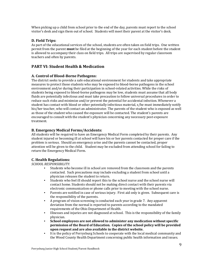When picking up a child from school prior to the end of the day, parents must report to the school visitor's desk and sign them out of school. Students will meet their parent at the visitor's desk.

## **D. Field Trips:**

As part of the educational services of the school, students are often taken on field trips. One written permit from the parent **must** be filed at the beginning of the year for each student before the student is allowed to accompany their class on field trips. All trips are supervised by regular classroom teachers and often by parents.

# **PART VI: Student Health & Medication**

## **A. Control of Blood-Borne Pathogens:**

The district seeks to provide a safe educational environment for students and take appropriate measures to protect those students who may be exposed to blood-borne pathogens in the school environment and/or during their participation in school-related activities. While the risks of students being exposed to blood-borne pathogens may be low, students must assume that all body fluids are potentially infectious and must take precaution to follow universal procedures in order to reduce such risks and minimize and/or prevent the potential for accidental infection. Whenever a student has contact with blood or other potentially infectious material, s/he must immediately notify his/her teacher, who will contact an administrator. The parents of the student who is exposed as well as those of the student who caused the exposure will be contacted. The student's parents are encouraged to consult with the student's physician concerning any necessary post-exposure treatment.

## **B. Emergency Medical Forms/Accidents:**

All students will be required to have an Emergency Medical Form completed by their parents. Any student injured or becoming ill at school will have his or her parents contacted for proper care if the problem is serious. Should an emergency arise and the parents cannot be contacted, proper attention will be given to the child. Student may be excluded from attending school for failing to return the Emergency Medical Form.

## **C. Health Regulations:**

## *SCHOOL RESPONSIBILITY*:

- Students who become ill in school are removed from the classroom and the parents contacted. Such precautions may include excluding a student from school until a physician releases the student to return.
- Students who feel ill should report this to the school nurse and the school nurse will contact home. Students should not be making direct contact with their parents via electronic communication or phone calls prior to meeting with the school nurse.
- Parents are notified in case of serious injury. First aid only is given. Subsequent care is the responsibility of the parents.
- A program of vision screening is conducted each year in grade 7. Any apparent deviation from the normal is reported to parents according to the mandated requirements of the Ohio Department of Health.
- Illnesses and injuries are not diagnosed at school. This is the responsibility of the family physician.
- **School employees are not allowed to administer any medication without specific permission of the Board of Education. Copies of the school policy will be provided** upon request and are also available in the district website.
- It is the policy of Perrysburg Schools to cooperate with the local medical community and the Wood County Health Department concerning public health information and issues.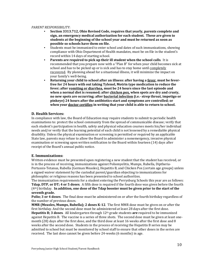#### *PARENT RESPONSIBILITY*:

- **Section 3313.712, Ohio Revised Code, requires that yearly, parents complete and** sign, an emergency medical authorization for each student. These are given to **students at the beginning of the school year and must be returned as soon as** possible so schools have them on file.
- Students must be immunized to enter school and dates of such immunizations, showing compliance with Ohio Department of Health mandates, must be on file in the student's record within 14 days of starting school.
- **•** Parents are required to pick up their ill student when the school calls. It is recommended that you prepare now with a "Plan B" for when your child becomes sick at school and has to be picked up or is sick and has to stay home until completely recovered. By planning ahead for a situational illness, it will minimize the impact on your family's well-being.
- Returning your child to school after an illness: after having a <u>fever</u>, must be feverfree for 24 hours with out taking Tylenol, Motrin type medication to reduce the **fever;** after vomiting or diarrhea, must be 24 hours since the last episode and **when a normal diet is resumed; after chicken pox, when spots are dry and crusty, no** new spots are occurring; after **bacterial infection** (i.e.- strep throat, impetigo or **pinkeye)** 24 hours after the antibiotics start and symptoms are controlled; or **when your doctor certifies** in writing that your child is able to return to school.

## **D. Health Services:**

In compliance with law, the Board of Education may require students to submit to periodic health examinations to: protect the school community from the spread of communicable disease; verify that each student's participation in health, safety and physical education courses meets his/her individual needs and/or verify that the learning potential of each child is not lessened by a remediable physical disability. Unless the physical examination or screening is permitted or required by an applicable State law, parents may refuse to allow the Board to administer a nonemergency, invasive physical examination or screening upon written notification to the Board within fourteen (14) days after receipt of the Board's annual public notice.

#### **E. Immunizations:**

Written evidence must be presented upon registering a new student that the student has received, or is in the process of receiving, immunizations against Poliomyelitis, Mumps, Rubella, Diptheria-Pertussis-Tetanus, Rubella (German Measles), Hepatitis B, and Chicken Pox (certain age groups) unless a signed waiver statement by the custodial parent/guardian objecting to immunizations for philosophic or religious reasons has been presented to school authorities.

The immunization requirements for a student entering the Perrysburg Schools this year are as follows: **Tdap, DTP, or DT; 4 or 5 doses.** A fifth dose is required if the fourth dose was given before the fourth  $(4<sup>th</sup>)$  birthday. In addition, one dose of the Tdap booster must be given prior to the start of the **seventh grade.**

Polio; 3 or 4 doses. The final dose must be administered on or after the fourth birthday regardless of the number of previous doses.

**MMR (Measles, Mumps, Rubella); 2 doses K-12.** The first MMR dose must be given on or after the first birthday. And the second dose must be administered at least 28 days after the first dose. **Hepatitis B; 3 doses**. All kindergarten through 12<sup>th</sup> grade students are required to be immunized against Hepatitis B. The vaccine is a series of three shots. The second dose must be given at least onemonth (28) days after the first dose, and the third dose at least 16 weeks after the first dose and 8 weeks after the second dose. Students in the process of receiving the Hepatitis B series may be admitted to school but must be monitored by school staff to ensure that other doses in the series are received. The last dose cannot be given before 24-weeks (6 months) in age.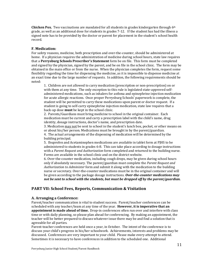**Chicken Pox.** Two vaccinations are mandated for all students in grades kindergarten through 6<sup>th</sup> grade, as well as an additional dose for students in grades 7-12. If the student has had the illness a signed note has to be provided by the doctor or parent for placement in the student's school health record.

## **F. Medication:**

For safety reasons, medicine, both prescription and over-the-counter, should be administered at home. If a physician requires the administration of medicine during school hours, state law requires that a Perrysburg Schools Prescriber's Statement form be on file. This form must be completed and signed by the physician, signed by the parent, and be on file in the school clinic. The form may be obtained in the main office or from the nurse. When the physician completes the form, request some flexibility regarding the time for dispensing the medicine, as it is impossible to dispense medicine at an exact time due to the large number of requests. In addition, the following requirements should be noted:

1. Children are not allowed to carry medication (prescription or non-prescription) on or with them at any time. The only exception to this rule is legislated state-approved selfadministered medications, such as inhalers for asthma and epinephrine injection medication for acute allergic reactions. Once proper Perrysburg Schools' paperwork is complete, the student will be permitted to carry these medications upon parent or doctor request. If a student is going to self-carry epinephrine injection medication, state law requires that a back-up dose **must** be kept in the school clinic.

2. Parents/Guardians must bring medicine to school in the original container. Each medication must be current and carry a prescription label with the child's name, drug identity, dosage instructions, doctor's name, and prescription date.

3. Medication may not be sent to school in the student's lunch box, pocket, or other means on or about his/her person. Medications must be brought in by the parent/guardian.

4. The actual arrangements of the dispensing of medication will be determined by the building principal.

5. Ibuprofen and Acetaminophen medications are available in tablet form at PJHS to be administered to students in grades 6-8. This can take place according to dosage instructions with a *Parent Request and Authorization* form completed and returned to the building nurse. Forms are available in the school clinic and on the district website.

6. Over-the-counter medication, including cough drops, may be given during school hours only if absolutely necessary. The parent/guardian must complete the *Parent Request and Authorization to Administer* form and submit it along with the medication to the building nurse or secretary. Over-the-counter medications must be in the original container and will be given according to the package dosage instructions. *Over-the-counter medications may not be sent to school with the students, but must be dropped off by the parent/guardian.* 

## **PART VII: School Fees, Reports, Communication & Visitation**

#### **A. Arranging a Conference:**

Parent/teacher communication is vital to student success. Parent/teacher conferences can be scheduled with any teacher/team at any time of the year. However, it is imperative that an **appointment is made ahead of time.** Drop-in conferences often run over and interfere with class time or with daily planning, so please plan ahead for conferencing. By making an appointment, the teacher will be better prepared to discuss whatever issue there may be and find a solution that is agreeable for all parties.

Parent-teacher conferences are held once a year, in October. The intent of the conference is to discuss your child's progress in his/her schoolwork. Achievements, interests and problems may be discussed. Conferences are very important to your child. Please make every attempt to attend. Sometimes it is necessary to have conferences in addition to the scheduled one. Additional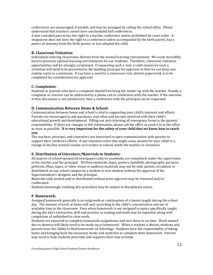conferences are encouraged, if needed, and may be arranged by calling the school office. Please understand that teachers cannot have unscheduled hall conferences.

A non-custodial parent has the right to a teacher conference unless prohibited by court order. A stepparent does not have the right to a conference unless accompanied by the birth parent, has a power of attorney from the birth parent, or has adopted the child.

#### **B. Classroom Visitation:**

Individuals entering classrooms distract from the normal learning environment. We work incredibly hard to preserve optimal learning environments for our students. Therefore, classroom visitation opportunities will be strongly scrutinized. If requesting such a visit, a valid reason for such a visitation will need to be presented to the building principal for approval so that we can keep nonroutine visits to a minimum. If you have a need for a classroom visit, district paperwork is to be completed for consideration for approval.

#### **C. Complaints:**

Students or parents who have a complaint should first bring the matter up with the teacher. Usually a complaint or concern can be addressed by a phone call or conference with the teacher. If the outcome of that discussion is not satisfactory, then a conference with the principal can be requested.

#### **D. Communication Between Home & School:**

Communication between home and school is vital in supporting your child's interests and efforts. Parents are encouraged to ask questions, visit often and become involved with their child's educational growth and development. Filling out and returning all emergency forms is the parents' responsibility. If there are changes in this information, please call the office or send it in to the office as soon as possible. It is very important for the safety of your child that we know how to reach **you.** 

The teachers, principal, and counselors are interested in open communication with parents to support their children's efforts. If any situation exists that might cause anxiety for your child or a change in his/her normal routine as it relates to school, notify the teacher or counselor.

#### **E. Distribution of Literature/Materials to Students:**

All aspects of school-sponsored newspapers and/or yearbooks are completely under the supervision of the teacher and the principal. Written materials, signs, posters, handbills, photographs, pictures, petitions, films, tapes, or other visual or auditory materials may not be sold, posted, circulated, or distributed on any school campus by a student or non-student without the approval of the Superintendent's designee and the principal.

Materials sold, posted and/or distributed without prior approval may be removed and/or confiscated. 

Students knowingly violating this procedure may be subject to disciplinary action.

#### **F. Homework:**

Assigned homework generally is an outgrowth or continuation of a lesson taught during the school day. The amount of work at home will vary according to the child's concentration and use of available time in the classroom. Even when homework is not assigned to topics specifically taught during the day's instruction, drill and practice in reading and math may be expected, along with completion of unfinished in-class work.

Students are expected to complete homework assignments and turn them in on time. Work missed due to absence will likely need to be made up as homework. When a student is absent, students and parents have the ability to find homework on *Schoology*. Students have the responsibility of taking home and bringing back the necessary books and materials to complete their homework. Parents may need to help students prioritize and organize their time at home.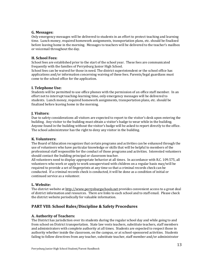#### **G. Messages:**

Only emergency messages will be delivered to students in an effort to protect teaching and learning time. Lunch money, required homework assignments, transportation plans, etc. should be finalized before leaving home in the morning. Messages to teachers will be delivered to the teacher's mailbox or voicemail throughout the day.

## **H. School Fees:**

School fees are established prior to the start of the school year. These fees are communicated frequently with the families of Perrysburg Junior High School.

School fees can be waived for those in need. The district superintendent or the school office has applications and/or information concerning waiving of these fees. Parents/legal guardians must come to the school office for the application.

## **I. Telephone Use:**

Students will be permitted to use office phones with the permission of an office staff member. In an effort not to interrupt teaching-learning time, only emergency messages will be delivered to students. Lunch money, required homework assignments, transportation plans, etc. should be finalized before leaving home in the morning.

## **J. Visitors:**

Due to safety considerations all visitors are expected to report to the visitor's desk upon entering the building. Any visitor to the building must obtain a visitor's badge to wear while in the building. Anyone found in the building without the visitor's badge will be asked to report directly to the office. The school administrator has the right to deny any visitor in the building.

#### **K. Volunteers:**

The Board of Education recognizes that certain programs and activities can be enhanced through the use of volunteers who have particular knowledge or skills that will be helpful to members of the professional staff responsible for the conduct of those programs and activities. Interested volunteers should contact the building principal or classroom teacher.

All volunteers need to display appropriate behavior at all times. In accordance with R.C. 109.575, all volunteers who work or apply to work unsupervised with children on a regular basis may/will be required to provide a set of fingerprints at any time so that a criminal records check can be conducted. If a criminal records check is conducted, it will be done as a condition of initial or continued service as a volunteer.

## **L. Website:**

The district website at http://www.perrysburgschools.net provides convenient access to a great deal of district information and resources. There are links to each school and to staff email. Please check the district website periodically for valuable information.

# **PART VIII: School Rules/Discipline & Safety Procedures**

## **A. Authority of Teachers:**

The District has jurisdiction over its students during the regular school day and while going to and from school on District transportation. State law vests teachers, substitute teachers, staff members and administrators with complete authority at all times. Students are expected to respect those in authority whether inside the classroom, on the campus, or at school-sponsored activities. Students failing to follow directives from any teacher, substitute teacher, staff member and/or administrator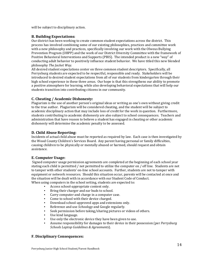will be subject to disciplinary action.

## **B. Building Expectations:**

Our district has been working to create common student expectations across the district. This process has involved combining some of our existing philosophies, practices and committee work with a new philosophy and practices, specifically involving our work with the Olweus Bullying Prevention Program (OBPP) and the work of our District Diversity Committee with the framework of Positive Behavioral Interventions and Supports (PBIS). The intended product is a new "way" of conducting adult behavior to positively influence student behavior. We have titled this new blended philosophy *The Jacket Way*.

All desired student expectations center on three common student descriptors. Specifically, all Perrysburg students are expected to be respectful, responsible and ready. Stakeholders will be introduced to desired student expectations from all of our students from kindergarten through their high school experience in these three areas. Our hope is that this strengthens our ability to promote a positive atmosphere for learning, while also developing behavioral expectations that will help our students transition into contributing citizens in our community.

## **C. Cheating / Academic Dishonesty:**

Plagiarism is the use of another person's original ideas or writing as one's own without giving credit to the true author. Plagiarism will be considered cheating, and the student will be subject to academic disciplinary action that may include loss of credit for the work in question. Furthermore, students contributing to academic dishonesty are also subject to school consequences. Teachers and administration that have reason to believe a student has engaged in cheating or other academic dishonesty will determine the academic penalty to be assessed.

## **D. Child Abuse Reporting:**

Incidents of actual child abuse must be reported as required by law. Each case is then investigated by the Wood County Children's Services Board. Any parent having personal or family difficulties, causing children to be physically or mentally abused or harmed, should request and obtain assistance. 

## **E. Computer Usage:**

Signed computer usage permission agreements are completed at the beginning of each school year stating each child is permitted / not permitted to utilize the computer on / off line. Students are not to tamper with other students' on-line school accounts. Further, students are not to tamper with equipment or network resources. Should this situation occur, parents will be contacted at once and the situation will be dealt with in accordance with our Student Code of Conduct. When using computers in the school setting, students are expected to:

- Access school-appropriate content only.
- 
- Bring their charger and ear buds to school.<br>■ Carry computer and charge in a computer of Carry computer and charge in a computer case.
- Come to school with their device charged.
- **•** Download school-approved apps and extensions only.
- **•** Reference and use *Schoology* and Google regularly.
- Seek permission before taking/sharing pictures or videos of others.
- Use kind language.
- Use only the electronic device they have been given to use.
- Assume responsibility for damages to their device in their possession (per *Perrysburg Schools Laptop Guidelines & Agreements*).

#### **F. Disciplinary Consequences:**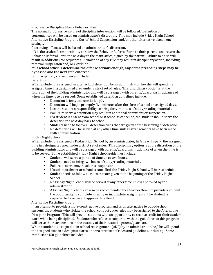#### Progressive Discipline Plan / Behavior Plan

The normal progressive nature of discipline intervention will be followed. Detention or consequences will be based on administrator's discretion. This may include Friday Night School, Alternative Discipline Program, Out-of-School Suspension, and/or other alternative placement settings.

Continuing offenses will be based on administrator's discretion.

\* It is the student's responsibility to show the Behavior Referral Form to their parents and return the Behavior Referral Form the next day to the Main Office, signed by the parent. Failure to do so will result in additional consequences. A violation of any rule may result in disciplinary action, including removal, suspension and/or expulsion.

#### \*\* If school officials determine the offense serious enough, any of the preceding steps may be **bypassed and the next step enforced.**

Our disciplinary consequences include:

#### **Detention**

When a student is assigned an after school detention by an administrator, he/she will spend the assigned time in a designated area under a strict set of rules. This disciplinary option is at the discretion of the building administrator and will be arranged with parents/guardians in advance of when the time is to be served. Some established detention guidelines include:

- Detention is forty-minutes in length.
- **•** Detention will begin promptly five-minutes after the close of school on assigned days.
- · It is the student's responsibility to bring forty-minutes of study/reading materials.
- **•** Failure to serve a detention may result in additional detentions or suspension.
- **•** If a student is absent from school or if school is cancelled, the student should serve the detention the next day back to school.
- Students need to follow all detention rules that are given at the beginning of detention.
- No detentions will be served at any other time, unless arrangements have been made with administration.

#### Friday Night School

When a student is assigned a Friday Night School by an administrator, he/she will spend the assigned time in a designated area under a strict set of rules. This disciplinary option is at the discretion of the building administrator and will be arranged with parents/guardians in advance of when the time is to be served. Some established Friday Night School guidelines include:

- Students will serve a period of time up to two hours.
- Students need to bring two hours of study/reading materials.
- **•** Failure to serve may result in a suspension.
- If student is absent or school is cancelled, the Friday Night School will be rescheduled.
- Student needs to follow all rules that are given at the beginning of the Friday Night School.
- No Friday Night School will be served at any other time unless approved by the administration.
- **•** A Friday Night School can also be recommended by a teacher/team to provide a student the opportunity to complete missing or incomplete assignments. The student is required to have parent approval to attend.

#### Alternative Discipline Program

In an attempt to provide a more constructive program and as an alternative to out-of-school suspension, students who violate the school conduct code/rules may be assigned to the Alternative Discipline Program. This will provide students with an opportunity to receive credit for their academic work while being disciplined. Students who refuse to cooperate with the guidelines of this program will serve their suspensions in the custody of their custodial parent/guardian.

When a student is assigned to in-school reassignment  $(ADP)$  by an administrator, he/she will spend the assigned time in a designated area under a strict set of rules and guidelines, including: Some established ISR guidelines include: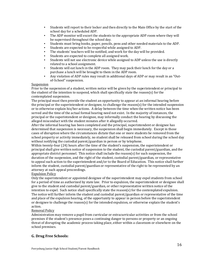- Students will report to their locker and then directly to the Main Office by the start of the school day for a scheduled ADP.
- The ADP monitor will escort the students to the appropriate ADP room where they will be supervised throughout the school day.
- Students must bring books, paper, pencils, pens and other needed materials to the ADP.
- Students are expected to be respectful while assigned to ADP.
- The students' teachers will be notified, and work for the day will be provided.
- Students are expected to complete all assigned work.
- . Students will not use electronic device while assigned to ADP unless the use is directly related to a school assignment.
- Students will eat lunch in the ADP room. They may pack their lunch for the day or a purchase a lunch will be brought to them in the ADP room.
- Any violation of ADP rules may result in additional days of ADP or may result in an "Outof-School" suspension.

#### Suspension

Prior to the suspension of a student, written notice will be given by the superintendent or principal to the student of the intention to suspend, which shall specifically state the reason(s) for the contemplated suspension.

The principal must then provide the student an opportunity to appear at an informal hearing before the principal or the superintendent or designee, to challenge the reason(s) for the intended suspension or to otherwise explain his/her actions. A delay between the time when the written notice has been served and the time of the actual formal hearing need not exist. In the majority of instances, the principal or the superintendent or designee, may informally conduct the hearing by discussing the alleged misconduct with the student minutes after it allegedly occurred.

After the informal hearing has been completed and the principal, superintendent or designee has determined that suspension is necessary, the suspension shall begin immediately. Except in those cases of disruption where the circumstances dictate that one or more students be removed from the school property or activity immediately, no student shall be released from school during the school day without notifying the custodial parent/guardian in person or by telephone.

Within twenty-four (24) hours after the time of the student's suspension, the superintendent or principal shall give written notice of suspension to the student, the custodial parent/guardian, and the appropriate district personnel. This notice shall include the reason(s) for such suspension, the duration of the suspension, and the right of the student, custodial parent/guardian, or representative to appeal such action to the superintendent and/or to the Board of Education. This notice shall further inform the student, custodial parent/guardian or representative of the right to be represented by an attorney at such appeal proceedings.

#### **Expulsion Policy**

Only the superintendent or appointed designee of the superintendent may expel students from school for a period of time as authorized by state law. Prior to expulsion, the superintendent or designee shall give to the student and custodial parent/guardian, or other representative written notice of the intention to expel. Such notice shall specifically state the reason(s) for the contemplated expulsion. The notice will further inform the student and custodial parent/guardian or representative of the time and place of the expulsion hearing, of the opportunity to appear in person before the superintendent or designee to challenge the reason(s) for the intended expulsion, or otherwise explain the student's action.

#### **Removal Policy**

Administration may remove a pupil from curricular or extracurricular activities or from the school premises if the student's presence poses a continuing danger to persons or property or an ongoing threat of disrupting the academic process taking place, either within a classroom or elsewhere on the school premises.

## **G. Drug Free Schools:**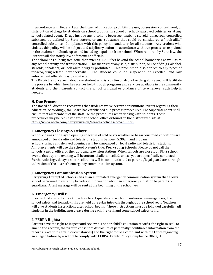In accordance with Federal Law, the Board of Education prohibits the use, possession, concealment, or distribution of drugs by students on school grounds, in school or school-approved vehicles, or at any school-related event. Drugs include any alcoholic beverage, anabolic steroid, dangerous controlled substance as defined by State statute, or any substance that could be considered a "look-alike" controlled substance. Compliance with this policy is mandatory for all students. Any student who violates this policy will be subject to disciplinary action, in accordance with due process as explained in the student handbook, up to and including expulsion from school. When required by State law, the District will also notify law enforcement officials.

The school has a "drug-free zone that extends 1,000 feet beyond the school boundaries as well as to any school activity and transportation. This means that any sale, distribution, or use of drugs, alcohol, steroids, inhalants, or look-alike drugs is prohibited. This prohibition also applies to any types of tobacco/drug-related paraphernalia. The student could be suspended or expelled, and law enforcement officials may be contacted.

The District is concerned about any student who is a victim of alcohol or drug abuse and will facilitate the process by which he/she receives help through programs and services available in the community. Students and their parents contact the school principal or guidance office whenever such help is needed.

## **H. Due Process:**

The Board of Education recognizes that students waive certain constitutional rights regarding their education. Accordingly, the Board has established due process procedures. The Superintendent shall ensure that all members of the staff use the procedures when dealing with students. These procedures may be requested from the school office or found on the district web site at http://www.neola.com/perrysburg-oh/search/policies/po5611.htm.

## **I. Emergency Closings & Delays:**

School closings or delayed openings because of cold or icy weather or hazardous road conditions are announced on local radio and television stations between 5:30am and 7:00am. School closings and delayed openings will be announced on local radio and television stations. Announcements will use the school system's title: Perrysburg Schools. Please do not call the schools, central office, or the radio and television stations. When schools are closed, all PJHS school events that day and evening will be automatically cancelled, unless you are specifically contacted. Further, closings, delays and cancellations will be communicated to parents/legal guardians through utilization of the district's emergency communication system.

#### **J. Emergency Communication System:**

Perrysburg Exempted Schools utilizes an automated emergency communication system that allows school personnel to instantly broadcast information about an emergency situation to parents or guardians. A test message will be sent at the beginning of the school year.

## **K. Emergency Drills:**

In order that students may know how to act quickly and without confusion in emergencies, fire, school safety and tornado drills are held at regular intervals throughout the school year. Teachers will give students instructions after school begins. These instructions must be followed carefully. All students in the building must leave during each fire drill and some school safety drills.

#### **L. FERPA Rights:**

Parents have the right to inspect and review his or her child's education records, the right to seek to amend the records, the right to consent to disclosure of personally identifiable information from the records (except in certain circumstances) and the right to file a complaint with the Office regarding an alleged failure by a school to comply with FERPA: Family Policy Compliance Office, U.S.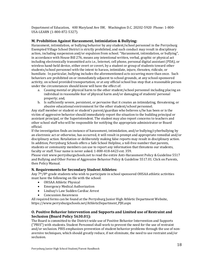Department of Education, 400 Maryland Ave SW, Washington D.C. 20202-5920 Phone: 1-800-USA-LEARN (1-800-872-5327).

## **M. Prohibition Against Harassment, Intimidation & Bullying:**

Harassment, intimidation, or bullying behavior by any student/school personnel in the Perrysburg Exempted Village School District is strictly prohibited, and such conduct may result in disciplinary action, including suspension and/or expulsion from school. "Harassment, intimidation, or bullying", in accordance with House Bill 276, means any intentional written, verbal, graphic or physical act including electronically transmitted acts i.e., Internet, cell phone, personal digital assistant (PDA), or wireless hand-held device, either overt or covert, by a student or group of students toward other students/school personnel with the intent to harass, intimidate, injure, threaten, ridicule, or humiliate. In particular, bullying includes the aforementioned acts occurring more than once. Such behaviors are prohibited on or immediately adjacent to school grounds, at any school-sponsored activity, on school provided transportation, or at any official school bus stop that a reasonable person under the circumstances should know will have the effect of:

- a. Causing mental or physical harm to the other student/school personnel including placing an individual in reasonable fear of physical harm and/or damaging of students' personal property; and,
- b. Is sufficiently severe, persistent, or pervasive that it creates an intimidating, threatening, or abusive educational environment for the other student/school personnel.

Any staff member or student or student's parent/guardian who believes s/he has been or is the victim of aggressive behavior should immediately report the situation to the building principal or assistant principal, or the Superintendent. The student may also report concerns to teachers and other school staff who will be responsible for notifying the appropriate administrator or Board official. 

If the investigation finds an instance of harassment, intimidation, and/or bullying/cyberbullying by an electronic act or otherwise, has occurred, it will result in prompt and appropriate remedial and/or disciplinary action. Retaliation or deliberately making false reports may result in disciplinary action. In addition, Perrysburg Schools offers a Safe School Helpline, a toll-free number that parents, students or community members can use to report any information that threatens our students, faculty or staff. Your name is never asked. 1-800-418-6423 ext. 359.

Please visit www.perrysburgschools.net to read the entire Anti-Harassment Policy & Guideline 5517 and Bullying and Other Forms of Aggressive Behavior Policy & Guideline 5517.01. Click on Parents, then Policy Manual. 

#### **N. Requirements for Secondary Student Athletes:**

Any 7<sup>th</sup>/8<sup>th</sup> grade students who wish to participate in school sponsored OHSAA athletic activities must have the following on file with the school:

- OHSAA Athletic Physical
- Emergency Medical Authorization
- Lindsay's Law Sudden Cardiac Arrest
- Concussion Awareness

All required forms can be found at the Perrysburg Junior High Athletic Department Website, https://www.perrysburgschools.net/AthleticDepartment\_PJH.aspx

## **O. Positive Behavior Intervention and Supports and Limited use of Restraint and Seclusion (Board Policy 5630.01):**

The Board is committed to the District-wide use of Positive Behavior Intervention and Supports ("PBIS") with students. Student Personnel shall work to prevent the need for the use of restraint and/or seclusion. PBIS emphasizes prevention of student behavior problems through the use of nonaversive techniques, which should greatly reduce, if not eliminate, the need to use restraint and/or seclusion.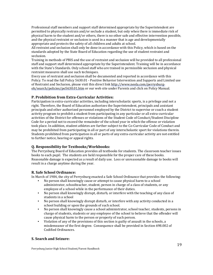Professional staff members and support staff determined appropriate by the Superintendent are permitted to physically restrain and/or seclude a student, but only when there is immediate risk of physical harm to the student and/or others, there is no other safe and effective intervention possible, and the physical restraint or seclusion is used in a manner that is age and developmentally appropriate and protects the safety of all children and adults at school.

All restraint and seclusion shall only be done in accordance with this Policy, which is based on the standards adopted by the State Board of Education regarding the use of student restraint and seclusion.

Training in methods of PBIS and the use of restraint and seclusion will be provided to all professional staff and support staff determined appropriate by the Superintendent. Training will be in accordance with the State's Standards. Only school staff who are trained in permissible seclusion and physical restraint measures shall use such techniques.

Every use of restraint and seclusion shall be documented and reported in accordance with this Policy. To read the full Policy 5630.01 - Positive Behavior Intervention and Supports and Limited use of Restraint and Seclusion, please visit this direct link http://www.neola.com/perrysburgoh/search/policies/po5630.01.htm or our web site under Parents and click on Policy Manual.

## **P. Prohibition from Extra-Curricular Activities:**

Participation in extra-curricular activities, including interscholastic sports, is a privilege and not a right. Therefore, the Board of Education authorizes the Superintendent, principals and assistant principals and other authorized personnel employed by the District to supervise or coach a student activity program to prohibit a student from participating in any particular or all extra-curricular activities of the District for offenses or violations of the Student Code of Conduct/Student Discipline Code for a period not to exceed the remainder of the school year in which the offense or violation took place. In addition, student athletes are further subject to the Co-Curricular Code of Conduct and may be prohibited from participating in all or part of any interscholastic sport for violations therein. Students prohibited from participation in all or parts of any extra-curricular activity are not entitled to further notice, hearing or appeal rights.

#### **Q. Responsibility for Textbooks/Workbooks:**

The Perrysburg Board of Education provides all textbooks for students. The classroom teacher issues books to each pupil. The students are held responsible for the proper care of these books. Reasonable damage is expected as a result of daily use. Loss or unreasonable damage to books will result in a charge anytime during the year.

#### **R. Safe School Ordinance:**

In March of 1984, the city of Perrysburg enacted a Safe School Ordinance that provides the following:

- No person shall knowingly cause or attempt to cause physical harm to a school administrator, schoolteacher, student, person in charge of a class of students, or any employee of a school while in the performance of their duties.
- No person shall knowingly disrupt, disturb, or interfere with the teaching of any class of students in a school
- No person shall knowingly disrupt disturb, or interfere with any activity conducted in a school building or upon the grounds of such school.
- No person shall knowingly cause a school administrator, school teacher, students, persons in charge of students, students or any employee of the school to believe that the offender will cause physical harm to the person or property of such person.
- · Violation of any of the provisions of this section is guilty of assault in the schools, a misdemeanor of the first degree. Consequence shall be provided in Section 698.002 of Codified Ordinances.

## **S. Search and Seizure:**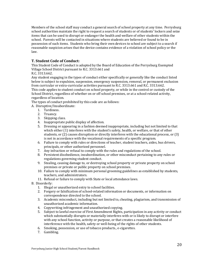Members of the school staff may conduct a general search of school property at any time. Perrysburg school authorities maintain the right to request a search of students or of students' lockers and seize items that can be used to disrupt or endanger the health and welfare of other students within the school. Parents will be contacted in situations where students are believed or found to be in possession of such items. Students who bring their own devices to school are subject to a search if reasonable suspicion arises that the device contains evidence of a violation of school policy or the law.

# **T. Student Code of Conduct:**

This Student Code of Conduct is adopted by the Board of Education of the Perrysburg Exempted Village School District pursuant to R.C. 3313.661 and

R.C. 3313.662.

Any student engaging in the types of conduct either specifically or generally like the conduct listed below is subject to expulsion, suspension, emergency suspension, removal, or permanent exclusion from curricular or extra-curricular activities pursuant to R.C. 3313.661 and R.C. 3313.662. This code applies to student conduct on school property, or while in the control or custody of the School District, regardless of whether on or off school premises, or at a school-related activity, regardless of location.

The types of conduct prohibited by this code are as follows:

A. Disruptive/Insubordinate:

- 1. Tardiness.
- 2. Truancy.
- 3. Skipping class.
- 4. Inappropriate public display of affection.
- 5. Dressing or appearing in a fashion deemed inappropriate, including but not limited to that which either  $(1)$  interferes with the student's safety, health, or welfare, or that of other students, or (2) causes disruption or directly interferes with the educational process, or (3) is not in accordance with the vocational requirements of a specific program.
- 6. Failure to comply with rules or directions of teacher, student teachers, aides, bus drivers, principals, or other authorized personnel.
- 7. Any infraction or refusal to comply with the rules and regulations of the school.
- 8. Persistent disobedience, insubordination, or other misconduct pertaining to any rules or regulations governing student conduct.
- 9. Stealing, causing damage to, or destroying school property or private property on school premises or private or public property on school premises.
- 10. Failure to comply with minimum personal grooming guidelines as established by students, teachers, and administrators.
- 11. Refusal or failure to comply with State or local attendance laws.
- B. Disorderly:
	- 1. Illegal or unauthorized entry to school facilities.
	- 2. Forgery or falsification of school-related information or documents, or information on correspondence directed to the school.
	- 3. Academic misconduct, including but not limited to, cheating, plagiarism, and transmission of unauthorized academic information.
	- 4. Copywriting infringement and unauthorized copying.
	- 5. Subject to lawful exercise of First Amendment Rights, participation in any activity or conduct which substantially disrupts or materially interferes with or is likely to disrupt or interfere with any school function, activity or purpose, or that creates a reasonable likelihood of interference with the health, safety or well-being of the rights of other students.
	- 6. Smoking, possession, or use of tobacco products., e-cigarettes.
	- 7. Gambling.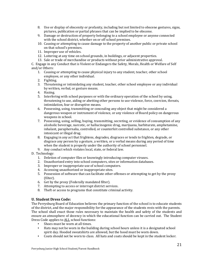- 8. Use or display of obscenity or profanity, including but not limited to obscene gestures, signs, pictures, publication or partial phrases that can be implied to be obscene.
- 9. Damage or destruction of property belonging to a school employee or anyone connected with the school district, whether on or off school premises.
- 10. Causing or attempting to cause damage to the property of another public or private school on that school's premises.
- 11. Improper use of vehicles.
- 12. Loitering at any time on school grounds, in buildings, or adjacent properties.
- 13. Sale or trade of merchandise or products without prior administrative approval.

C. Engage in any Conduct that is Violent or Endangers the Safety, Morals, Health or Welfare of Self and/or Others:

- 1. Causing or attempting to cause physical injury to any student, teacher, other school employee, or any other individual.
- 2. Fighting.
- 3. Threatening or intimidating any student, teacher, other school employee or any individual by written, verbal, or gesture means.
- 4. Hazing.
- 5. Interfering with school purposes or with the ordinary operation of the school by using, threatening to use, aiding or abetting other persons to use violence, force, coercion, threats, intimidation, fear or disruptive means.
- 6. Possessing, using, transmitting or concealing any object that might be considered a dangerous weapon or instrument of violence, or any violence of Board policy on dangerous weapons in school.
- 7. Possessing, using, selling, buying, transmitting, secreting, or evidence of consumption of any alcoholic beverage, narcotic, or hallucinogenic drug, marijuana, barbiturate, amphetamine, inhalant, paraphernalia, controlled, or counterfeit controlled substance, or any other intoxicant or illegal drug.
- 8. Engaging in any act that frightens, degrades, disgraces or tends to frighten, degrade, or disgrace any person by a gesture, a written, or a verbal means during any period of time when the student is properly under the authority of school personnel.
- 9. Any conduct which violates local, state, or federal law.
- D. Technology:
	- 1. Deletion of computer files or knowingly introducing computer viruses.
	- 2. Unauthorized entry into school computers, sites or information databases.
	- 3. Improper or inappropriate use of school computers.
	- 4. Accessing unauthorized or inappropriate sites.
	- 5. Possession of software that can facilitate other offenses or attempting to get by the proxy (filter).
	- 6. Get by the proxy (Federally mandated filter).
	- 7. Attempting to access or interrupt district services.
	- 8. Theft or access to programs that constitute criminal activity.

## **U. Student Dress Code:**

The Perrysburg Board of Education believes the primary function of the school is to educate students of the district, and the major responsibility for the appearance of the students rests with the parents. The school shall enact those rules necessary to maintain the health and safety of the students and ensure an atmosphere of decency in which the educational function can be carried out. The Student Dress Code applies to ALL school functions:

- **•** Shoes must be worn at all times.
- **•** Hats may not be worn in the building during school hours unless it is a designated school spirit day. Hooded sweatshirts are allowed, but the hood must be worn down.
- Coats should not be worn to class. All hats and coats should be kept in the student locker.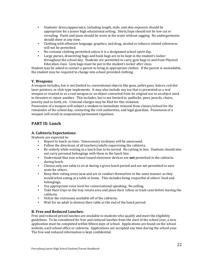- Students' dress/appearance, including length, style, and skin exposure should be appropriate for a junior high educational setting. Shirts/tops should not be low cut or revealing. Pants and jeans should be worn at the waist without sagging. No undergarments should show at any time.
- Clothing with offensive language, graphics, and drug, alcohol or tobacco related references will not be permitted.
- No costume clothing permitted unless it is a designated school spirit day.
- **•** Large purses, drawstring bags and book bags are to be kept in the student's locker throughout the school day. Students are permitted to carry gym bags to and from Physical Education class. Gym bags must be put in the student's locker after class.

Student may be asked to contact a parent to bring in appropriate clothes. If the parent is unavailable, the student may be required to change into school provided clothing.

## **V. Weapons:**

A weapon includes, but is not limited to, conventional objects like guns, pellet guns, knives, red-dot laser pointers, or club-type implements. It may also include any toy that is presented as a real weapon or reacted to as a real weapon or an object converted from its original use to an object used to threaten or injure another. This includes, but is not limited to, padlocks, pens, pencils, chairs, jewelry and so forth, etc. Criminal charges may be filed for this violation.

Possession of a weapon will subject a student to immediate removal from classes/school for the remainder of the school day, contacting the civil authorities, and legal guardian. Possession of a weapon will result in suspension/permanent expulsion.

# **PART IX: Lunch**

## **A. Cafeteria Expectations:**

Students are expected to:

- Report to lunch on time. Unnecessary tardiness will be unexcused.
- $\cdot$  Follow the directions of all teachers/adults supervising the cafeteria.
- Be orderly while waiting in a lunch line to be served. No cutting in line. Students should also not carry personal belongings with them in the lunch line.
- **•** Understand that non-school issued electronic devices are **not** permitted in the cafeteria during lunch.
- Choose only one table to sit at during a given lunch period and are not permitted to save seats for others.
- Keep their eating areas neat and are to conduct themselves in the same manner as they would when eating at a table at home. This includes being respectful of others' food and belongings.
- Use appropriate voice level for conversational speaking. No yelling.
- Take their trays to the tray return area and place their refuse in trash cans before leaving the cafeteria.
- **•** Utilize the restrooms available off of the cafeteria.
- Wait for an adult to dismiss their table at the end of the lunch period.

## **B. Free and Reduced Lunches:**

Free and reduced priced lunches are available to students who qualify and meet the eligibility guidelines. To be considered for free and reduced lunches from the start of the school year, a new application must be completed within fifteen days of school. Applications are found on the school website, each school office or cafeteria. Applications are accepted any time during the school year. The free and reduced information is kept confidential.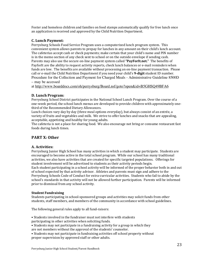Foster and homeless children and families on food stamps automatically qualify for free lunch once an application is received and approved by the Child Nutrition Department.

## **C. Lunch Payment:**

Perrysburg Schools Food Service Program uses a computerized lunch program system. This convenient system allows parents to prepay for lunches in any amount on their child's lunch account. The cafeterias accept cash or check payments; make certain that your child's name and PIN number is in the memo section of any check sent to school or on the outside envelope if sending cash. Parents may also use the secure on-line payment system called "PayForIt.net." The benefits of PayforIt are the ability to request activity reports, check lunch balances or e-mail reminders when funds are low. The benefits are available without processing an on-line payment transaction. Please call or e-mail the Child Nutrition Department if you need your child's 9-digit student ID number. Procedure for the Collection and Payment for Charged Meals - Administrative Guideline 8500D – may be accessed

at http://www.boarddocs.com/oh/perrysburg/Board.nsf/goto?open&id=B5GHSQ49BFA6

## **D. Lunch Program:**

Perrysburg School District participates in the National School Lunch Program. Over the course of a one-week period, the school lunch menus are developed to provide children with approximately onethird of the Recommended Dietary Allowances.

Lunch choices vary day by day (three meal options everyday), but always consist of an entrée, a variety of fruits and vegetables and milk. We strive to offer lunches and snacks that are appealing, acceptable, appetizing and healthy for young adults.

The cafeteria is not a place for sharing food. We also encourage not bring or consume restaurant fast foods during lunch times.

# **PART X: Other**

#### **A. Activities:**

Perrysburg Junior High School has many activities in which a student may participate. Students are encouraged to become active in the total school program. While our school has many traditional activities, we also have activities that are created for specific targeted populations. Offerings for student involvement will be advertised to students as their activity periods begin. Each student participating in a school activity will be informed of the proper behavior both in and out of school expected by that activity advisor. Athletes and parents must sign and adhere to the Perrysburg Schools Code of Conduct for extra-curricular activities. Students who fail to abide by the school's standards in that activity will not be allowed further participation. Parents will be informed prior to dismissal from any school activity.

#### **Student Fundraising**

Students participating in school-sponsored groups and activities may solicit funds from other students, staff members, and members of the community in accordance with school guidelines.

The following general rules apply to all fund-raisers:

- Students involved in the fundraiser must not interfere with students
- participating in other activities when soliciting funds.
- Students may not participate in a fundraising activity for a group in which they
- are not members without the approval of the students' counselor.
- Students may not participate in fundraising activities off school property without proper supervision by approved staff or other adults.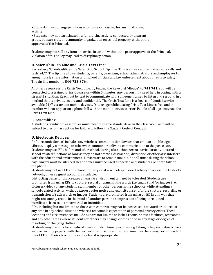• Students may not engage in house-to-house canvassing for any fundraising activity.

• Students may not participate in a fundraising activity conducted by a parent group, booster club, or community organization on school property without the approval of the Principal.

Students may not sell any item or service in school without the prior approval of the Principal. Violation of this policy may lead to disciplinary action.

## **B. Safer Ohio Tip Line and Crisis Text Line:**

Perrysburg Schools utilizes the Safer Ohio School Tip Line. This is a free service that accepts calls and texts 24/7. The tip line allows students, parents, guardians, school administrators and employees to anonymously share information with school officials and law enforcement about threats to safety. The tip line number is **844-723-3764**.

Another resource is the Crisis Text Line. By texting the keyword "4hope" to 741 741, you will be connected to a trained Crisis Counselor within 5 minutes. Any person may need help in coping with a stressful situation. Reach out by text to communicate with someone trained to listen and respond in a method that is private, secure and confidential. The Crisis Text Line is a free, confidential service available 24/7 via text on mobile devices. Data usage while texting Crisis Text Line is free and the number will not appear on a phone bill with the mobile service carrier. People of all ages may use the Crisis Text Line.

#### **C. Assemblies:**

A student's conduct in assemblies must meet the same standards as in the classroom, and will be subject to disciplinary action for failure to follow the Student Code of Conduct.

#### **D. Electronic Devices:**

An "electronic device" includes any wireless communication devices that emit an audible signal, vibrate, display a message or otherwise summon or deliver a communication to the possessor. Students may use EDs before and after school, during after school/extra curricular activities and at school-related functions as long as they do not create a distraction, disruption or otherwise interfere with the educational environment. Devices are to remain inaudible at all times during the school day; ringers must be silenced, headphones must be used as needed and students are not to talk on the phone.

Students may not use EDs on school property or at a school-sponsored activity to access the District's network, unless a guest account is available.

Distracting behavior that creates an unsafe environment will not be tolerated. Students are prohibited from using EDs to capture, record or transmit the words (i.e. audio) and/or images (i.e. pictures/video) of any student, staff member or other person in the school or while attending a school-related activity, without express prior notice and explicit consent for the capture, recording or transmission of such words or images. Students are prohibited from using an ED in any way that might reasonably create in the mind of another person an impression of being threatened, humiliated, harassed, embarrassed or intimidated.

EDs, including but not limited to those with cameras, may not be possessed, activated or utilized at any time in any school situation where a reasonable expectation of personal privacy exists. These locations and circumstances include but are not limited to locker rooms, shower facilities, restrooms and any other areas where students or others may change clothes or be in any stage or degree of disrobing or changing clothes.

Students may use EDs for an educational or instructional purpose (e.g. taking notes, recording a class lecture, writing papers) with the teacher's permission and supervision. Teachers may permit student use of EDs in their classrooms as they feel it is appropriate.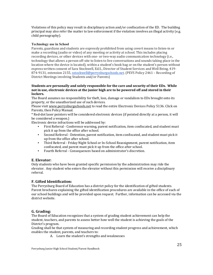Violations of this policy may result in disciplinary action and/or confiscation of the ED. The building principal may also refer the matter to law enforcement if the violation involves an illegal activity (e.g. child pornography).

#### **Technology use in School**

Parents, guardians and students are expressly prohibited from using covert means to listen-in or make a recording (audio or video) of any meeting or activity at school. This includes placing recording devices, or other devices with one- or two-way audio communication technology (i.e., technology that allows a person off-site to listen to live conversations and sounds taking place in the location where the device is located), within a student's book bag or on the student's person without express written consent of Sara Stockwell, Ed.S., Director of Student Services and Well Being, 419-874-9131, extension 2155, sstockwell@perrysburgschools.net. (PEVS Policy 2461 - Recording of District Meetings involving Students and/or Parents)

#### Students are personally and solely responsible for the care and security of their EDs. While not in use, electronic devices at the junior high are to be powered off and stored in their **lockers.**

The Board assumes no responsibility for theft, loss, damage or vandalism to EDs brought onto its property, or the unauthorized use of such devices.

Please visit www.perrysburgschools.net to read the entire Electronic Devices Policy 5136. Click on Parents, then Policy Manual.

\* Red-dot laser pointers will be considered electronic devices (if pointed directly at a person, it will be considered a weapon.)

Electronic device infractions will be addressed by:

- **•** First Referral Conference warning, parent notification, item confiscated, and student must pick it up from the office after school.
- Second Referral Detention, parent notification, item confiscated, and student must pick it up from the office after school.
- **•** Third Referral Friday Night School or In-School Reassignment, parent notification, item confiscated, and parent must pick it up from the office after school.
- **•** Fourth Referral Consequences based on administrator's discretion.

#### **E. Elevator:**

Only students who have been granted specific permission by the administration may ride the elevator. Any student who enters the elevator without this permission will receive a disciplinary referral.

#### **F. Gifted Identification:**

The Perrysburg Board of Education has a district policy for the identification of gifted students. Parent brochures explaining the gifted identification procedures are available in the office of each of our school buildings and will be provided upon request. Further, information can be accessed via the district website.

#### **G. Grading:**

The Board of Education recognizes that a system of grading student achievement can help the student, teachers, and parents to assess better how well the student is achieving the goals of the District's program.

Grading shall be that system of measuring and recording student progress and achievement, which enables the student, parents, and teachers to:

A. Learn the student's strengths and weaknesses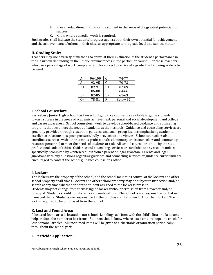- B. Plan an educational future for the student in the areas of the greatest potential for success
- C. Know where remedial work is required.

Such grades shall indicate the students' progress against both their own potential for achievement and the achievements of others in their class as appropriate to the grade level and subject matter.

## **H. Grading Scale:**

Teachers may use a variety of methods to arrive at their evaluation of the student's performance in the classroom depending on the unique circumstances in the particular course. For those teachers who use a percentage of work completed and/or correct to arrive at a grade, the following scale is to be used:

|                | 96-100 | C  | 74-77    |
|----------------|--------|----|----------|
|                | 92-95  | C- | 70-73    |
| $B+$           | 89-91  | D+ | 67-69    |
| B              | 86-88  | D  | 64-66    |
| B-             | 82-85  | D- | 61-63    |
| r <sub>+</sub> | 78-81  | F  | Below 61 |

## **I. School Counselors:**

Perrysburg Junior High School has two school guidance counselors available to guide students toward success in the areas of academic achievement, personal and social development and college and career awareness. School counselors' work to develop school-based guidance and counseling programs that best meet the needs of students at their schools. Guidance and counseling services are generally provided through classroom guidance and small group lessons emphasizing academic excellence, relationships, peer pressure, bully prevention and virtues. School counselors also coordinate services with other campus professionals, elementary crisis counselors and community resource personnel to meet the needs of students at risk. All school counselors abide by the state professional code of ethics. Guidance and counseling services are available to any student unless specifically prohibited by written request from a parent or legal guardian. Parents and legal guardians with any questions regarding guidance and counseling services or guidance curriculum are encouraged to contact the school guidance counselor's office.

## **J. Lockers:**

The lockers are the property of the school, and the school maintains control of the lockers and other school property at all times. Lockers and other school property may be subject to inspection and/or search at any time whether or not the student assigned to the locker is present. Students may not change from their assigned locker without permission from a teacher and/or principal. Students should not share locker combinations. The school is not responsible for lost or damaged items. Students are responsible for the purchase of their own lock for their locker. The lock is required to be purchased from the school.

## **K. Lost and Found Area:**

A lost and found area is located in our school. Labeling each item with the child's first and last name helps reduce the number of lost items. Students should know where lost items are kept and check for lost personal articles. All unclaimed items will be given to a charitable organization periodically throughout the school year.

## **L. Pesticide Application:**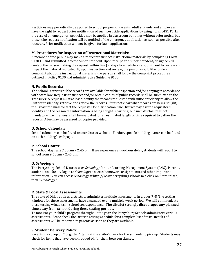Pesticides may periodically be applied to school property. Parents, adult students and employees have the right to request prior notification of such pesticide applications by using Form 8431 F5. In the case of an emergency, pesticides may be applied in classroom buildings without prior notice, but those who request notification will be notified of the emergency application as soon as possible after it occurs. Prior notification will not be given for lawn applications.

#### **M. Procedures for Inspection of Instructional Materials:**

A member of the public may make a request to inspect instructional materials by completing Form 9130 F3 and submitted it to the Superintendent. Upon receipt, the Superintendent/designee will contact the person making the request within five (5) days to schedule an appointment to review and inspect the material indicated. If, upon inspection and review, the person would like to file a complaint about the instructional materials, the person shall follow the complaint procedures outlined in Policy 9130 and Administrative Guideline 9130.

## **N. Public Records:**

The School District's public records are available for public inspection and/or copying in accordance with State law. Requests to inspect and/or obtain copies of public records shall be submitted to the Treasurer. A request must at least identify the records requested with sufficient clarity to allow the District to identify, retrieve and review the records. If it is not clear what records are being sought, the Treasurer shall contact the requester for clarification. The District may ask the requester's identity and the reason the information is being sought in writing, but such disclosure is not mandatory. Each request shall be evaluated for an estimated length of time required to gather the records. A fee may be assessed for copies provided.

## **O. School Calendar:**

School calendars can be found on our district website. Further, specific building events can be found on each building's webpage.

## **P. School Hours:**

The school day runs 7:50 am - 2:45 pm. If we experience a two-hour delay, students will report to school from  $9:50$  am  $- 2:45$  pm.

#### **Q.** *Schoology***:**

The Perrysburg School District uses *Schoology* for our Learning Management System (LMS). Parents, students and faculty log in to *Schoology* to access homework assignments and other important information. You can access *Schoology* at http://www.perrysburgschools.net, click on "Parent" tab, then "*Schoology*." 

#### **R. State & Local Assessments:**

The state of Ohio requires districts to administer multiple assessments in grades 7-8. The testing windows for these assessments have expanded over a multiple week period. We will communicate these testing windows in school correspondence. The district strongly discourages any planned time away from school during these testing periods.

To monitor your child's progress throughout the year, the Perrysburg Schools administers various assessments. Please check the District Testing Schedule for a complete list of tests. Results of assessments will be reported to parents as soon as they are available.

#### **S. Student Delivery Policy:**

Parents may drop off "forgotten" items at the visitor's desk for the students to pick up. Students may check for items that have been dropped off for them between classes.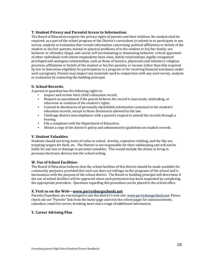## **T. Student Privacy and Parental Access to Information:**

The Board of Education respects the privacy rights of parents and their children. No student shall be required, as a part of the school program or the District's curriculum, to submit to or participate in any survey, analysis or evaluation that reveals information concerning: political affiliations or beliefs of the student or his/her parents; mental or physical problems of to the student or his/her family; sex behavior or attitudes; illegal, anti-social, self-incriminating or demeaning behavior; critical appraisals of other individuals with whom respondents have close, family relationships; legally-recognized privileged and analogous relationships, such as those of lawyers, physicians and ministers; religious practices, affiliations or beliefs of the student or his/her parents; or income (other than that required by law to determine eligibility for participation in a program or for receiving financial assistance under such a program). Parents may inspect any materials used in conjunction with any such survey, analysis or evaluation by contacting the building principal.

## **U. School Records:**

A parent or guardian has the following rights to:

- **•** Inspect and review their child's education record.
- Request an amendment if the parent believes the record is inaccurate, misleading, or otherwise in violation of the student's rights.
- Consent to disclosures of personally identifiable information contained in the student's education records, except to those disclosures allowed by the law.
- Challenge district noncompliance with a parent's request to amend the records through a hearing.
- **•** File a complaint with the Department of Education.
- Obtain a copy of the district's policy and administrative guidelines on student records.

## **V. Student Valuables:**

Students should not bring items of value to school. Jewelry, expensive clothing, and the like are tempting targets for theft, etc. The District is not responsible for their safekeeping and will not be liable for any loss or damage to personal valuables. This would include the choice to bring in personal electronic devices into the school setting.

## **W. Use of School Facilities:**

The Board of Education believes that the school facilities of this district should be made available for community purposes, provided that such use does not infringe on the programs of the school and is harmonious with the purpose of the school district. The Board or building principal will determine if the use of school facilities will be approved when such permission has been requested by completing the appropriate procedure. Questions regarding this procedure can be placed to the school office.

#### **X. Visit us on the Web—www.perrysburgschools.net**

Parents/Guardians are encouraged to use the district's web site: www.perrysburgschools.net. Please check out our "Parents" link from the home page and visit the school pages for announcements, calendars, email list serves, breaking news and a range of additional information.

## **Y. Career Advising Plan**